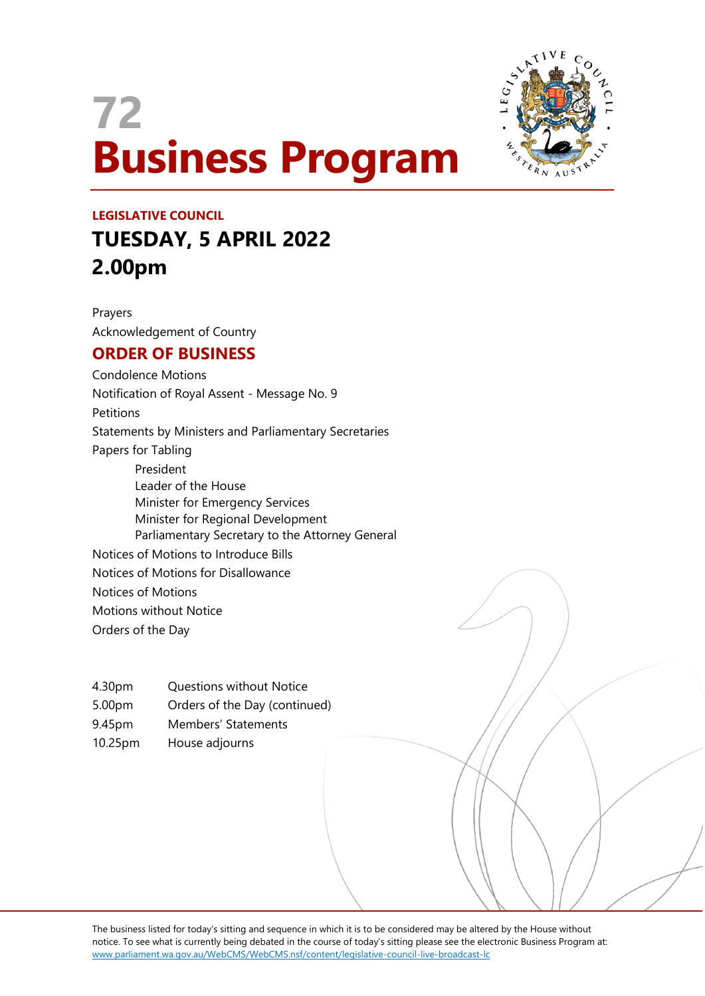# **72 Business Program**



## **LEGISLATIVE COUNCIL TUESDAY, 5 APRIL 2022 2.00pm**

Prayers Acknowledgement of Country

### **ORDER OF BUSINESS**

Condolence Motions Notification of Royal Assent - Message No. 9 Petitions Statements by Ministers and Parliamentary Secretaries Papers for Tabling President Leader of the House Minister for Emergency Services Minister for Regional Development Parliamentary Secretary to the Attorney General Notices of Motions to Introduce Bills Notices of Motions for Disallowance Notices of Motions Motions without Notice Orders of the Day

| 4.30pm             | <b>Questions without Notice</b> |
|--------------------|---------------------------------|
| 5.00 <sub>pm</sub> | Orders of the Day (continued)   |
| 9.45pm             | Members' Statements             |
| 10.25pm            | House adjourns                  |

The business listed for today's sitting and sequence in which it is to be considered may be altered by the House without notice. To see what is currently being debated in the course of today's sitting please see the electronic Business Program at: www.parliament.wa.gov.au/WebCMS/WebCMS.nsf/content/legislative-council-live-broadcast-lc